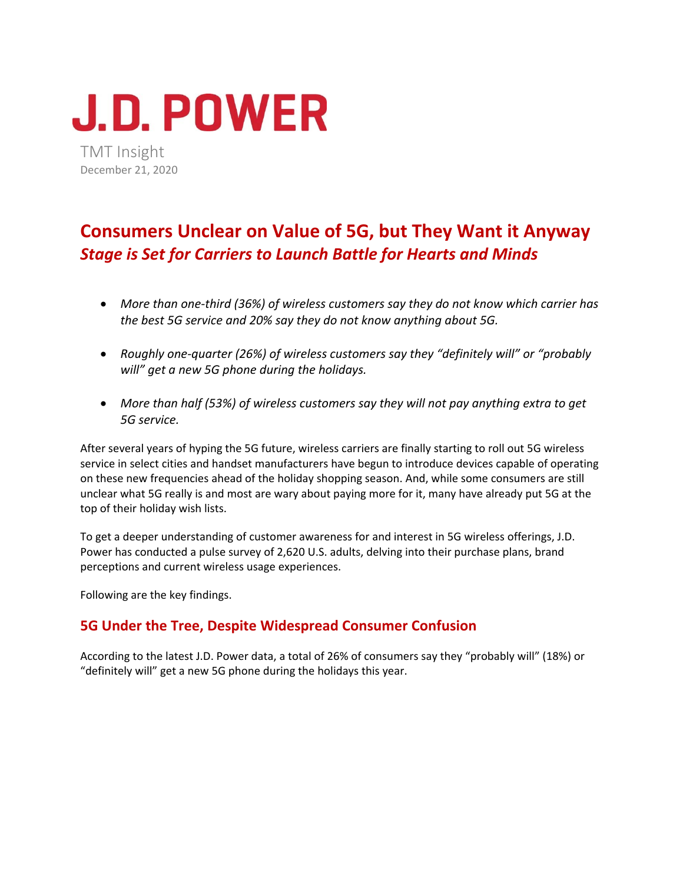# **J.D. POWER**

TMT Insight December 21, 2020

# **Consumers Unclear on Value of 5G, but They Want it Anyway**  *Stage is Set for Carriers to Launch Battle for Hearts and Minds*

- *More than one‐third (36%) of wireless customers say they do not know which carrier has the best 5G service and 20% say they do not know anything about 5G.*
- *Roughly one‐quarter (26%) of wireless customers say they "definitely will" or "probably will" get a new 5G phone during the holidays.*
- *More than half (53%) of wireless customers say they will not pay anything extra to get 5G service.*

After several years of hyping the 5G future, wireless carriers are finally starting to roll out 5G wireless service in select cities and handset manufacturers have begun to introduce devices capable of operating on these new frequencies ahead of the holiday shopping season. And, while some consumers are still unclear what 5G really is and most are wary about paying more for it, many have already put 5G at the top of their holiday wish lists.

To get a deeper understanding of customer awareness for and interest in 5G wireless offerings, J.D. Power has conducted a pulse survey of 2,620 U.S. adults, delving into their purchase plans, brand perceptions and current wireless usage experiences.

Following are the key findings.

# **5G Under the Tree, Despite Widespread Consumer Confusion**

According to the latest J.D. Power data, a total of 26% of consumers say they "probably will" (18%) or "definitely will" get a new 5G phone during the holidays this year.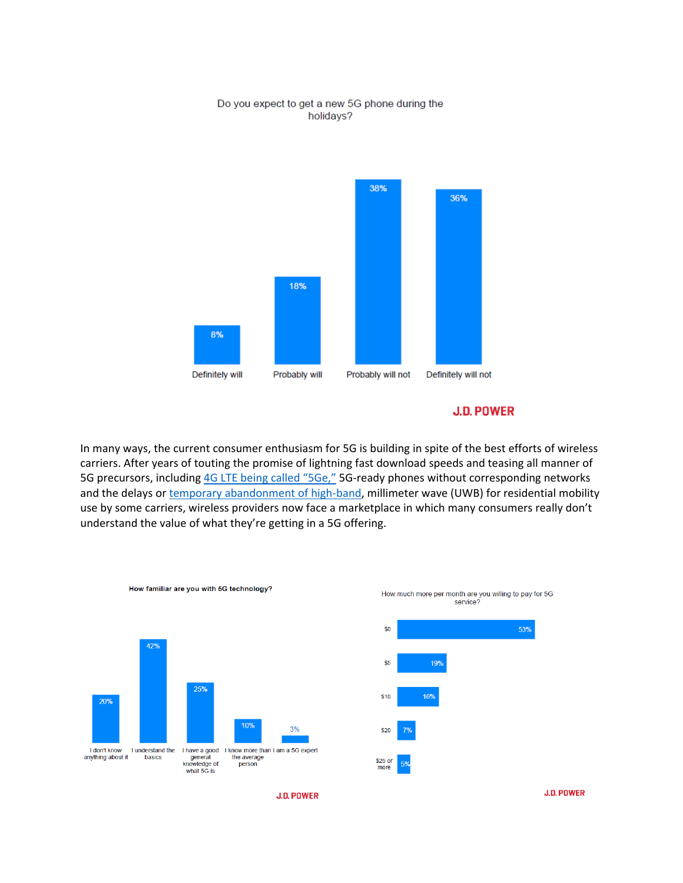#### Do you expect to get a new 5G phone during the holidays?



#### **J.D. POWER**

In many ways, the current consumer enthusiasm for 5G is building in spite of the best efforts of wireless carriers. After years of touting the promise of lightning fast download speeds and teasing all manner of 5G precursors, including 4G LTE being called "5Ge," 5G-ready phones without corresponding networks and the delays or temporary abandonment of high-band, millimeter wave (UWB) for residential mobility use by some carriers, wireless providers now face a marketplace in which many consumers really don't understand the value of what they're getting in a 5G offering.



**J.D. POWER**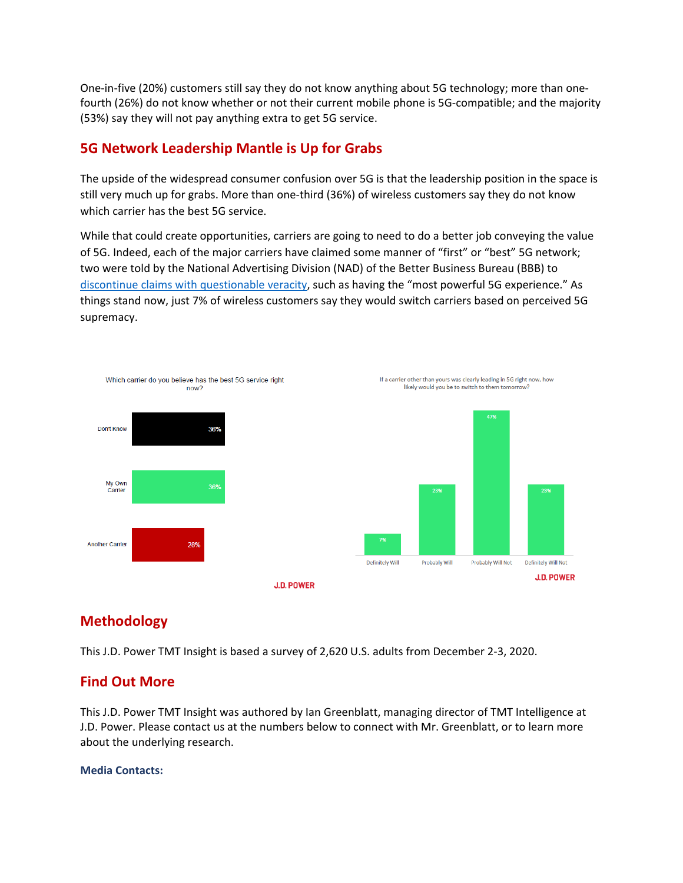One‐in‐five (20%) customers still say they do not know anything about 5G technology; more than one‐ fourth (26%) do not know whether or not their current mobile phone is 5G-compatible; and the majority (53%) say they will not pay anything extra to get 5G service.

# **5G Network Leadership Mantle is Up for Grabs**

The upside of the widespread consumer confusion over 5G is that the leadership position in the space is still very much up for grabs. More than one‐third (36%) of wireless customers say they do not know which carrier has the best 5G service.

While that could create opportunities, carriers are going to need to do a better job conveying the value of 5G. Indeed, each of the major carriers have claimed some manner of "first" or "best" 5G network; two were told by the National Advertising Division (NAD) of the Better Business Bureau (BBB) to discontinue claims with questionable veracity, such as having the "most powerful 5G experience." As things stand now, just 7% of wireless customers say they would switch carriers based on perceived 5G supremacy.



# **Methodology**

This J.D. Power TMT Insight is based a survey of 2,620 U.S. adults from December 2‐3, 2020.

# **Find Out More**

This J.D. Power TMT Insight was authored by Ian Greenblatt, managing director of TMT Intelligence at J.D. Power. Please contact us at the numbers below to connect with Mr. Greenblatt, or to learn more about the underlying research.

#### **Media Contacts:**